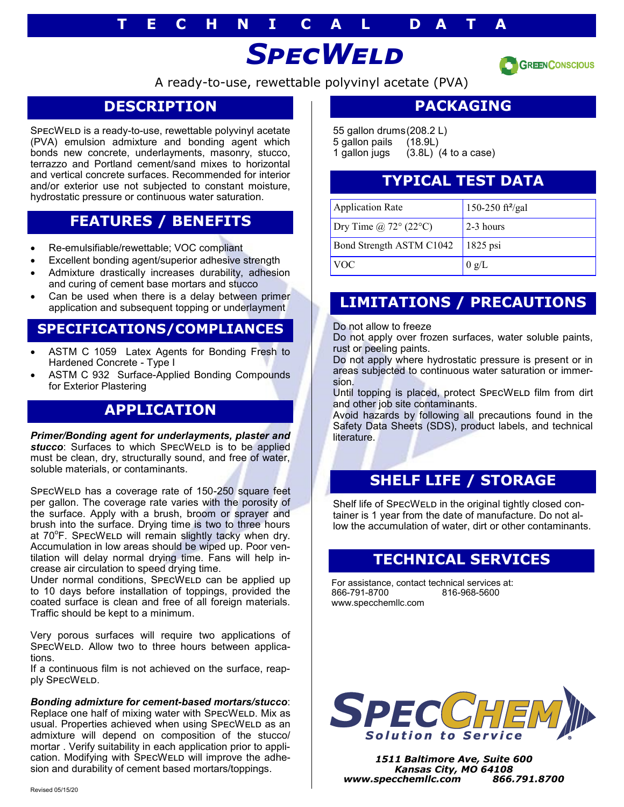#### **T E C H N I C A L D A T A**

# *SpecWeld*



A ready-to-use, rewettable polyvinyl acetate (PVA)

#### **DESCRIPTION**

SPECWELD is a ready-to-use, rewettable polyvinyl acetate (PVA) emulsion admixture and bonding agent which bonds new concrete, underlayments, masonry, stucco, terrazzo and Portland cement/sand mixes to horizontal and vertical concrete surfaces. Recommended for interior and/or exterior use not subjected to constant moisture, hydrostatic pressure or continuous water saturation.

#### **FEATURES / BENEFITS**

- Re-emulsifiable/rewettable; VOC compliant
- Excellent bonding agent/superior adhesive strength
- Admixture drastically increases durability, adhesion and curing of cement base mortars and stucco
- Can be used when there is a delay between primer application and subsequent topping or underlayment

#### **SPECIFICATIONS/COMPLIANCES**

- ASTM C 1059 Latex Agents for Bonding Fresh to Hardened Concrete - Type I
- ASTM C 932 Surface-Applied Bonding Compounds for Exterior Plastering

#### **APPLICATION**

*Primer/Bonding agent for underlayments, plaster and*  stucco: Surfaces to which SPECWELD is to be applied must be clean, dry, structurally sound, and free of water, soluble materials, or contaminants.

SpecWeld has a coverage rate of 150-250 square feet per gallon. The coverage rate varies with the porosity of the surface. Apply with a brush, broom or sprayer and brush into the surface. Drying time is two to three hours at 70°F. SPECWELD will remain slightly tacky when dry. Accumulation in low areas should be wiped up. Poor ventilation will delay normal drying time. Fans will help increase air circulation to speed drying time.

Under normal conditions, SPECWELD can be applied up to 10 days before installation of toppings, provided the coated surface is clean and free of all foreign materials. Traffic should be kept to a minimum.

Very porous surfaces will require two applications of SPECWELD. Allow two to three hours between applications.

If a continuous film is not achieved on the surface, reapply SPECWELD.

#### *Bonding admixture for cement-based mortars/stucco*:

Replace one half of mixing water with SPECWELD. Mix as usual. Properties achieved when using SPECWELD as an admixture will depend on composition of the stucco/ mortar . Verify suitability in each application prior to application. Modifying with SPECWELD will improve the adhesion and durability of cement based mortars/toppings.

#### **PACKAGING**

55 gallon drums(208.2 L) 5 gallon pails (18.9L) 1 gallon jugs (3.8L) (4 to a case)

#### **TYPICAL TEST DATA**

| <b>Application Rate</b>         | 150-250 ft <sup>2</sup> /gal |
|---------------------------------|------------------------------|
| Dry Time $\omega$ 72° (22°C)    | $2-3$ hours                  |
| <b>Bond Strength ASTM C1042</b> | $1825$ psi                   |
| <b>VOC</b>                      | 0 g/L                        |

# **LIMITATIONS / PRECAUTIONS**

Do not allow to freeze

Do not apply over frozen surfaces, water soluble paints, rust or peeling paints.

Do not apply where hydrostatic pressure is present or in areas subjected to continuous water saturation or immersion.

Until topping is placed, protect SPECWELD film from dirt and other job site contaminants.

Avoid hazards by following all precautions found in the Safety Data Sheets (SDS), product labels, and technical literature.

# **SHELF LIFE / STORAGE**

Shelf life of SPECWELD in the original tightly closed container is 1 year from the date of manufacture. Do not allow the accumulation of water, dirt or other contaminants.

#### **TECHNICAL SERVICES**

For assistance, contact technical services at: 866-791-8700 www.specchemllc.com



*1511 Baltimore Ave, Suite 600 Kansas City, MO 64108 www.specchemllc.com 866.791.8700*